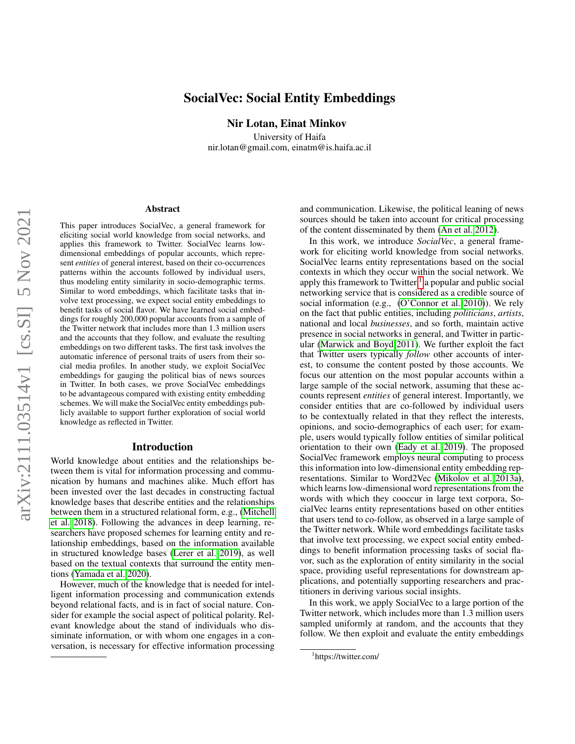# arXiv:2111.03514v1 [cs.SI] 5 Nov 2021 arXiv:2111.03514v1 [cs.SI] 5 Nov 2021

# SocialVec: Social Entity Embeddings

Nir Lotan, Einat Minkov

University of Haifa nir.lotan@gmail.com, einatm@is.haifa.ac.il

### Abstract

This paper introduces SocialVec, a general framework for eliciting social world knowledge from social networks, and applies this framework to Twitter. SocialVec learns lowdimensional embeddings of popular accounts, which represent *entities* of general interest, based on their co-occurrences patterns within the accounts followed by individual users, thus modeling entity similarity in socio-demographic terms. Similar to word embeddings, which facilitate tasks that involve text processing, we expect social entity embeddings to benefit tasks of social flavor. We have learned social embeddings for roughly 200,000 popular accounts from a sample of the Twitter network that includes more than 1.3 million users and the accounts that they follow, and evaluate the resulting embeddings on two different tasks. The first task involves the automatic inference of personal traits of users from their social media profiles. In another study, we exploit SocialVec embeddings for gauging the political bias of news sources in Twitter. In both cases, we prove SocialVec embeddings to be advantageous compared with existing entity embedding schemes. We will make the SocialVec entity embeddings publicly available to support further exploration of social world knowledge as reflected in Twitter.

### Introduction

World knowledge about entities and the relationships between them is vital for information processing and communication by humans and machines alike. Much effort has been invested over the last decades in constructing factual knowledge bases that describe entities and the relationships between them in a structured relational form, e.g., [\(Mitchell](#page-9-0) [et al. 2018\)](#page-9-0). Following the advances in deep learning, researchers have proposed schemes for learning entity and relationship embeddings, based on the information available in structured knowledge bases [\(Lerer et al. 2019\)](#page-9-1), as well based on the textual contexts that surround the entity mentions [\(Yamada et al. 2020\)](#page-9-2).

However, much of the knowledge that is needed for intelligent information processing and communication extends beyond relational facts, and is in fact of social nature. Consider for example the social aspect of political polarity. Relevant knowledge about the stand of individuals who dissiminate information, or with whom one engages in a conversation, is necessary for effective information processing and communication. Likewise, the political leaning of news sources should be taken into account for critical processing of the content disseminated by them [\(An et al. 2012\)](#page-9-3).

In this work, we introduce *SocialVec*, a general framework for eliciting world knowledge from social networks. SocialVec learns entity representations based on the social contexts in which they occur within the social network. We apply this framework to Twitter, $<sup>1</sup>$  $<sup>1</sup>$  $<sup>1</sup>$  a popular and public social</sup> networking service that is considered as a credible source of social information (e.g., [\(O'Connor et al. 2010\)](#page-9-4)). We rely on the fact that public entities, including *politicians*, *artists*, national and local *businesses*, and so forth, maintain active presence in social networks in general, and Twitter in particular [\(Marwick and Boyd 2011\)](#page-9-5). We further exploit the fact that Twitter users typically *follow* other accounts of interest, to consume the content posted by those accounts. We focus our attention on the most popular accounts within a large sample of the social network, assuming that these accounts represent *entities* of general interest. Importantly, we consider entities that are co-followed by individual users to be contextually related in that they reflect the interests, opinions, and socio-demographics of each user; for example, users would typically follow entities of similar political orientation to their own [\(Eady et al. 2019\)](#page-9-6). The proposed SocialVec framework employs neural computing to process this information into low-dimensional entity embedding representations. Similar to Word2Vec [\(Mikolov et al. 2013a\)](#page-9-7), which learns low-dimensional word representations from the words with which they cooccur in large text corpora, SocialVec learns entity representations based on other entities that users tend to co-follow, as observed in a large sample of the Twitter network. While word embeddings facilitate tasks that involve text processing, we expect social entity embeddings to benefit information processing tasks of social flavor, such as the exploration of entity similarity in the social space, providing useful representations for downstream applications, and potentially supporting researchers and practitioners in deriving various social insights.

In this work, we apply SocialVec to a large portion of the Twitter network, which includes more than 1.3 million users sampled uniformly at random, and the accounts that they follow. We then exploit and evaluate the entity embeddings

<span id="page-0-0"></span><sup>1</sup> https://twitter.com/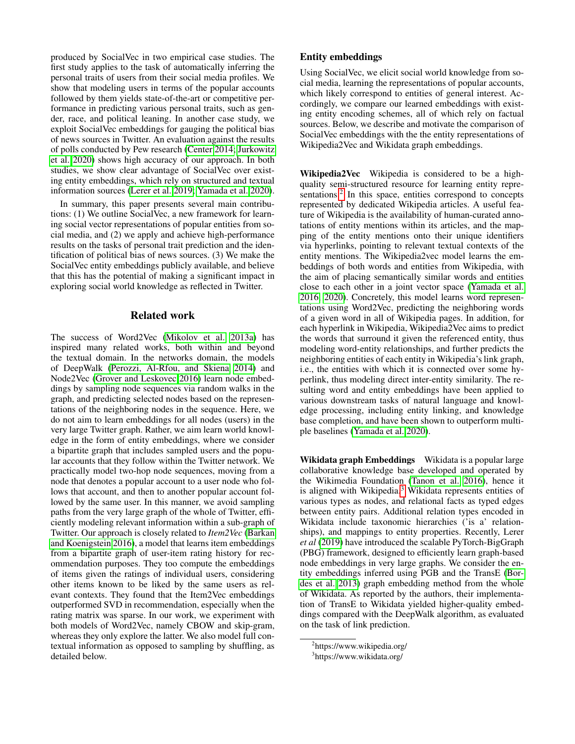produced by SocialVec in two empirical case studies. The first study applies to the task of automatically inferring the personal traits of users from their social media profiles. We show that modeling users in terms of the popular accounts followed by them yields state-of-the-art or competitive performance in predicting various personal traits, such as gender, race, and political leaning. In another case study, we exploit SocialVec embeddings for gauging the political bias of news sources in Twitter. An evaluation against the results of polls conducted by Pew research [\(Center 2014;](#page-9-8) [Jurkowitz](#page-9-9) [et al. 2020\)](#page-9-9) shows high accuracy of our approach. In both studies, we show clear advantage of SocialVec over existing entity embeddings, which rely on structured and textual information sources [\(Lerer et al. 2019;](#page-9-1) [Yamada et al. 2020\)](#page-9-2).

In summary, this paper presents several main contributions: (1) We outline SocialVec, a new framework for learning social vector representations of popular entities from social media, and (2) we apply and achieve high-performance results on the tasks of personal trait prediction and the identification of political bias of news sources. (3) We make the SocialVec entity embeddings publicly available, and believe that this has the potential of making a significant impact in exploring social world knowledge as reflected in Twitter.

# Related work

The success of Word2Vec [\(Mikolov et al. 2013a\)](#page-9-7) has inspired many related works, both within and beyond the textual domain. In the networks domain, the models of DeepWalk [\(Perozzi, Al-Rfou, and Skiena 2014\)](#page-9-10) and Node2Vec [\(Grover and Leskovec 2016\)](#page-9-11) learn node embeddings by sampling node sequences via random walks in the graph, and predicting selected nodes based on the representations of the neighboring nodes in the sequence. Here, we do not aim to learn embeddings for all nodes (users) in the very large Twitter graph. Rather, we aim learn world knowledge in the form of entity embeddings, where we consider a bipartite graph that includes sampled users and the popular accounts that they follow within the Twitter network. We practically model two-hop node sequences, moving from a node that denotes a popular account to a user node who follows that account, and then to another popular account followed by the same user. In this manner, we avoid sampling paths from the very large graph of the whole of Twitter, efficiently modeling relevant information within a sub-graph of Twitter. Our approach is closely related to *Item2Vec* [\(Barkan](#page-9-12) [and Koenigstein 2016\)](#page-9-12), a model that learns item embeddings from a bipartite graph of user-item rating history for recommendation purposes. They too compute the embeddings of items given the ratings of individual users, considering other items known to be liked by the same users as relevant contexts. They found that the Item2Vec embeddings outperformed SVD in recommendation, especially when the rating matrix was sparse. In our work, we experiment with both models of Word2Vec, namely CBOW and skip-gram, whereas they only explore the latter. We also model full contextual information as opposed to sampling by shuffling, as detailed below.

# Entity embeddings

Using SocialVec, we elicit social world knowledge from social media, learning the representations of popular accounts, which likely correspond to entities of general interest. Accordingly, we compare our learned embeddings with existing entity encoding schemes, all of which rely on factual sources. Below, we describe and motivate the comparison of SocialVec embeddings with the the entity representations of Wikipedia2Vec and Wikidata graph embeddings.

Wikipedia2Vec Wikipedia is considered to be a highquality semi-structured resource for learning entity repre-sentations.<sup>[2](#page-1-0)</sup> In this space, entities correspond to concepts represented by dedicated Wikipedia articles. A useful feature of Wikipedia is the availability of human-curated annotations of entity mentions within its articles, and the mapping of the entity mentions onto their unique identifiers via hyperlinks, pointing to relevant textual contexts of the entity mentions. The Wikipedia2vec model learns the embeddings of both words and entities from Wikipedia, with the aim of placing semantically similar words and entities close to each other in a joint vector space [\(Yamada et al.](#page-9-13) [2016,](#page-9-13) [2020\)](#page-9-2). Concretely, this model learns word representations using Word2Vec, predicting the neighboring words of a given word in all of Wikipedia pages. In addition, for each hyperlink in Wikipedia, Wikipedia2Vec aims to predict the words that surround it given the referenced entity, thus modeling word-entity relationships, and further predicts the neighboring entities of each entity in Wikipedia's link graph, i.e., the entities with which it is connected over some hyperlink, thus modeling direct inter-entity similarity. The resulting word and entity embeddings have been applied to various downstream tasks of natural language and knowledge processing, including entity linking, and knowledge base completion, and have been shown to outperform multiple baselines [\(Yamada et al. 2020\)](#page-9-2).

Wikidata graph Embeddings Wikidata is a popular large collaborative knowledge base developed and operated by the Wikimedia Foundation [\(Tanon et al. 2016\)](#page-9-14), hence it is aligned with Wikipedia.<sup>[3](#page-1-1)</sup> Wikidata represents entities of various types as nodes, and relational facts as typed edges between entity pairs. Additional relation types encoded in Wikidata include taxonomic hierarchies ('is a' relationships), and mappings to entity properties. Recently, Lerer *et al* [\(2019\)](#page-9-1) have introduced the scalable PyTorch-BigGraph (PBG) framework, designed to efficiently learn graph-based node embeddings in very large graphs. We consider the entity embeddings inferred using PGB and the TransE [\(Bor](#page-9-15)[des et al. 2013\)](#page-9-15) graph embedding method from the whole of Wikidata. As reported by the authors, their implementation of TransE to Wikidata yielded higher-quality embeddings compared with the DeepWalk algorithm, as evaluated on the task of link prediction.

<span id="page-1-0"></span><sup>&</sup>lt;sup>2</sup>https://www.wikipedia.org/

<span id="page-1-1"></span><sup>3</sup> https://www.wikidata.org/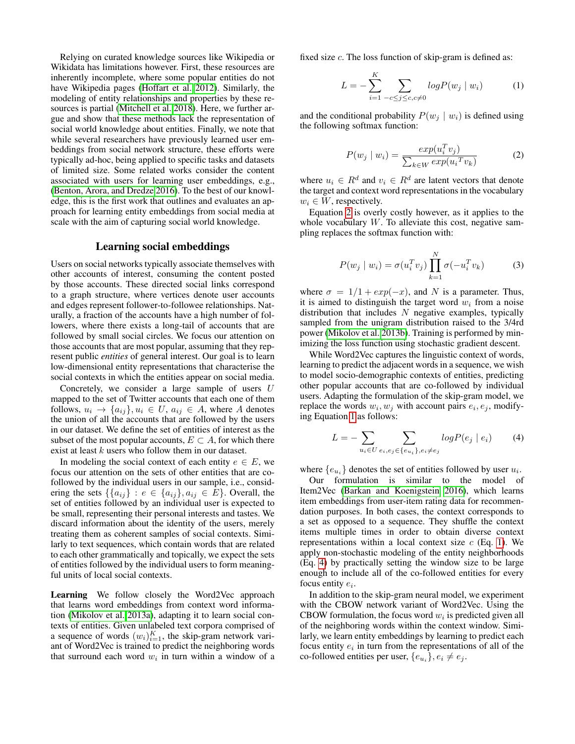Relying on curated knowledge sources like Wikipedia or Wikidata has limitations however. First, these resources are inherently incomplete, where some popular entities do not have Wikipedia pages [\(Hoffart et al. 2012\)](#page-9-16). Similarly, the modeling of entity relationships and properties by these resources is partial [\(Mitchell et al. 2018\)](#page-9-0). Here, we further argue and show that these methods lack the representation of social world knowledge about entities. Finally, we note that while several researchers have previously learned user embeddings from social network structure, these efforts were typically ad-hoc, being applied to specific tasks and datasets of limited size. Some related works consider the content associated with users for learning user embeddings, e.g., [\(Benton, Arora, and Dredze 2016\)](#page-9-17). To the best of our knowledge, this is the first work that outlines and evaluates an approach for learning entity embeddings from social media at scale with the aim of capturing social world knowledge.

### Learning social embeddings

Users on social networks typically associate themselves with other accounts of interest, consuming the content posted by those accounts. These directed social links correspond to a graph structure, where vertices denote user accounts and edges represent follower-to-followee relationships. Naturally, a fraction of the accounts have a high number of followers, where there exists a long-tail of accounts that are followed by small social circles. We focus our attention on those accounts that are most popular, assuming that they represent public *entities* of general interest. Our goal is to learn low-dimensional entity representations that characterise the social contexts in which the entities appear on social media.

Concretely, we consider a large sample of users U mapped to the set of Twitter accounts that each one of them follows,  $u_i \rightarrow \{a_{ij}\}\,$ ,  $u_i \in U$ ,  $a_{ij} \in A$ , where A denotes the union of all the accounts that are followed by the users in our dataset. We define the set of entities of interest as the subset of the most popular accounts,  $E \subset A$ , for which there exist at least  $k$  users who follow them in our dataset.

In modeling the social context of each entity  $e \in E$ , we focus our attention on the sets of other entities that are cofollowed by the individual users in our sample, i.e., considering the sets  $\{\{a_{ij}\}\,:\,e\in\{a_{ij}\},a_{ij}\in E\}$ . Overall, the set of entities followed by an individual user is expected to be small, representing their personal interests and tastes. We discard information about the identity of the users, merely treating them as coherent samples of social contexts. Similarly to text sequences, which contain words that are related to each other grammatically and topically, we expect the sets of entities followed by the individual users to form meaningful units of local social contexts.

Learning We follow closely the Word2Vec approach that learns word embeddings from context word information [\(Mikolov et al. 2013a\)](#page-9-7), adapting it to learn social contexts of entities. Given unlabeled text corpora comprised of a sequence of words  $(w_i)_{i=1}^K$ , the skip-gram network variant of Word2Vec is trained to predict the neighboring words that surround each word  $w_i$  in turn within a window of a

fixed size  $c$ . The loss function of skip-gram is defined as:

<span id="page-2-1"></span>
$$
L = -\sum_{i=1}^{K} \sum_{-c \le j \le c, c \neq 0} log P(w_j | w_i)
$$
 (1)

and the conditional probability  $P(w_i | w_i)$  is defined using the following softmax function:

<span id="page-2-0"></span>
$$
P(w_j \mid w_i) = \frac{exp(u_i^T v_j)}{\sum_{k \in W} exp(u_i^T v_k)}
$$
(2)

where  $u_i \in R^d$  and  $v_i \in R^d$  are latent vectors that denote the target and context word representations in the vocabulary  $w_i \in W$ , respectively.

Equation [2](#page-2-0) is overly costly however, as it applies to the whole vocabulary  $W$ . To alleviate this cost, negative sampling replaces the softmax function with:

$$
P(w_j \mid w_i) = \sigma(u_i^T v_j) \prod_{k=1}^N \sigma(-u_i^T v_k)
$$
 (3)

where  $\sigma = 1/1 + exp(-x)$ , and N is a parameter. Thus, it is aimed to distinguish the target word  $w_i$  from a noise distribution that includes  $N$  negative examples, typically sampled from the unigram distribution raised to the 3/4rd power [\(Mikolov et al. 2013b\)](#page-9-18). Training is performed by minimizing the loss function using stochastic gradient descent.

While Word2Vec captures the linguistic context of words, learning to predict the adjacent words in a sequence, we wish to model socio-demographic contexts of entities, predicting other popular accounts that are co-followed by individual users. Adapting the formulation of the skip-gram model, we replace the words  $w_i, w_j$  with account pairs  $e_i, e_j$ , modifying Equation [1](#page-2-1) as follows:

<span id="page-2-2"></span>
$$
L = -\sum_{u_i \in U} \sum_{e_i, e_j \in \{e_{u_i}\}, e_i \neq e_j} logP(e_j \mid e_i)
$$
 (4)

where  $\{e_{u_i}\}\$  denotes the set of entities followed by user  $u_i$ .

Our formulation is similar to the model of Item2Vec [\(Barkan and Koenigstein 2016\)](#page-9-12), which learns item embeddings from user-item rating data for recommendation purposes. In both cases, the context corresponds to a set as opposed to a sequence. They shuffle the context items multiple times in order to obtain diverse context representations within a local context size  $c$  (Eq. [1\)](#page-2-1). We apply non-stochastic modeling of the entity neighborhoods (Eq. [4\)](#page-2-2) by practically setting the window size to be large enough to include all of the co-followed entities for every focus entity  $e_i$ .

In addition to the skip-gram neural model, we experiment with the CBOW network variant of Word2Vec. Using the CBOW formulation, the focus word  $w_i$  is predicted given all of the neighboring words within the context window. Similarly, we learn entity embeddings by learning to predict each focus entity  $e_i$  in turn from the representations of all of the co-followed entities per user,  $\{e_{u_i}\}, e_i \neq e_j$ .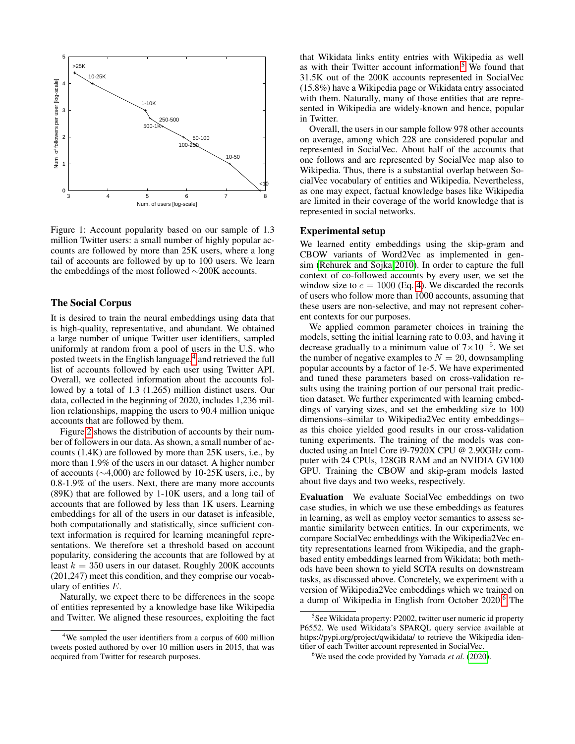

Figure 1: Account popularity based on our sample of 1.3 million Twitter users: a small number of highly popular accounts are followed by more than 25K users, where a long tail of accounts are followed by up to 100 users. We learn the embeddings of the most followed ∼200K accounts.

### The Social Corpus

It is desired to train the neural embeddings using data that is high-quality, representative, and abundant. We obtained a large number of unique Twitter user identifiers, sampled uniformly at random from a pool of users in the U.S. who posted tweets in the English language,<sup>[4](#page-3-0)</sup> and retrieved the full list of accounts followed by each user using Twitter API. Overall, we collected information about the accounts followed by a total of 1.3 (1.265) million distinct users. Our data, collected in the beginning of 2020, includes 1,236 million relationships, mapping the users to 90.4 million unique accounts that are followed by them.

Figure [2](#page-5-0) shows the distribution of accounts by their number of followers in our data. As shown, a small number of accounts (1.4K) are followed by more than 25K users, i.e., by more than 1.9% of the users in our dataset. A higher number of accounts (∼4,000) are followed by 10-25K users, i.e., by 0.8-1.9% of the users. Next, there are many more accounts (89K) that are followed by 1-10K users, and a long tail of accounts that are followed by less than 1K users. Learning embeddings for all of the users in our dataset is infeasible, both computationally and statistically, since sufficient context information is required for learning meaningful representations. We therefore set a threshold based on account popularity, considering the accounts that are followed by at least  $k = 350$  users in our dataset. Roughly 200K accounts (201,247) meet this condition, and they comprise our vocabulary of entities E.

Naturally, we expect there to be differences in the scope of entities represented by a knowledge base like Wikipedia and Twitter. We aligned these resources, exploiting the fact

that Wikidata links entity entries with Wikipedia as well as with their Twitter account information.[5](#page-3-1) We found that 31.5K out of the 200K accounts represented in SocialVec (15.8%) have a Wikipedia page or Wikidata entry associated with them. Naturally, many of those entities that are represented in Wikipedia are widely-known and hence, popular in Twitter.

Overall, the users in our sample follow 978 other accounts on average, among which 228 are considered popular and represented in SocialVec. About half of the accounts that one follows and are represented by SocialVec map also to Wikipedia. Thus, there is a substantial overlap between SocialVec vocabulary of entities and Wikipedia. Nevertheless, as one may expect, factual knowledge bases like Wikipedia are limited in their coverage of the world knowledge that is represented in social networks.

# Experimental setup

We learned entity embeddings using the skip-gram and CBOW variants of Word2Vec as implemented in gensim [\(Rehurek and Sojka 2010\)](#page-9-19). In order to capture the full context of co-followed accounts by every user, we set the window size to  $c = 1000$  (Eq. [4\)](#page-2-2). We discarded the records of users who follow more than 1000 accounts, assuming that these users are non-selective, and may not represent coherent contexts for our purposes.

We applied common parameter choices in training the models, setting the initial learning rate to 0.03, and having it decrease gradually to a minimum value of  $7 \times 10^{-5}$ . We set the number of negative examples to  $N = 20$ , downsampling popular accounts by a factor of 1e-5. We have experimented and tuned these parameters based on cross-validation results using the training portion of our personal trait prediction dataset. We further experimented with learning embeddings of varying sizes, and set the embedding size to 100 dimensions–similar to Wikipedia2Vec entity embeddings– as this choice yielded good results in our cross-validation tuning experiments. The training of the models was conducted using an Intel Core i9-7920X CPU @ 2.90GHz computer with 24 CPUs, 128GB RAM and an NVIDIA GV100 GPU. Training the CBOW and skip-gram models lasted about five days and two weeks, respectively.

Evaluation We evaluate SocialVec embeddings on two case studies, in which we use these embeddings as features in learning, as well as employ vector semantics to assess semantic similarity between entities. In our experiments, we compare SocialVec embeddings with the Wikipedia2Vec entity representations learned from Wikipedia, and the graphbased entity embeddings learned from Wikidata; both methods have been shown to yield SOTA results on downstream tasks, as discussed above. Concretely, we experiment with a version of Wikipedia2Vec embeddings which we trained on a dump of Wikipedia in English from October 2020.<sup>[6](#page-3-2)</sup> The

<span id="page-3-0"></span><sup>&</sup>lt;sup>4</sup>We sampled the user identifiers from a corpus of 600 million tweets posted authored by over 10 million users in 2015, that was acquired from Twitter for research purposes.

<span id="page-3-1"></span><sup>&</sup>lt;sup>5</sup>See Wikidata property: P2002, twitter user numeric id property P6552. We used Wikidata's SPARQL query service available at https://pypi.org/project/qwikidata/ to retrieve the Wikipedia identifier of each Twitter account represented in SocialVec.

<span id="page-3-2"></span><sup>6</sup>We used the code provided by Yamada *et al.* [\(2020\)](#page-9-2).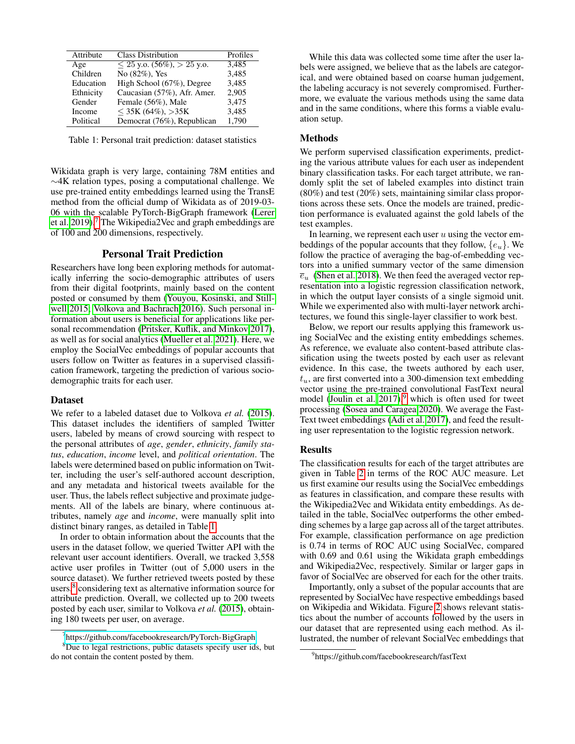<span id="page-4-1"></span>

| Attribute | <b>Class Distribution</b>       | Profiles |
|-----------|---------------------------------|----------|
| Age       | $\leq$ 25 y.o. (56%), > 25 y.o. | 3,485    |
| Children  | No $(82\%)$ , Yes               | 3,485    |
| Education | High School (67%), Degree       | 3,485    |
| Ethnicity | Caucasian (57%), Afr. Amer.     | 2.905    |
| Gender    | Female (56%), Male              | 3,475    |
| Income    | $<$ 35K (64%), $>$ 35K          | 3,485    |
| Political | Democrat (76%), Republican      | 1,790    |

Table 1: Personal trait prediction: dataset statistics

Wikidata graph is very large, containing 78M entities and ∼4K relation types, posing a computational challenge. We use pre-trained entity embeddings learned using the TransE method from the official dump of Wikidata as of 2019-03- 06 with the scalable PyTorch-BigGraph framework [\(Lerer](#page-9-1) [et al. 2019\)](#page-9-1).[7](#page-4-0) The Wikipedia2Vec and graph embeddings are of 100 and 200 dimensions, respectively.

### Personal Trait Prediction

Researchers have long been exploring methods for automatically inferring the socio-demographic attributes of users from their digital footprints, mainly based on the content posted or consumed by them [\(Youyou, Kosinski, and Still](#page-9-20)[well 2015;](#page-9-20) [Volkova and Bachrach 2016\)](#page-9-21). Such personal information about users is beneficial for applications like personal recommendation [\(Pritsker, Kuflik, and Minkov 2017\)](#page-9-22), as well as for social analytics [\(Mueller et al. 2021\)](#page-9-23). Here, we employ the SocialVec embeddings of popular accounts that users follow on Twitter as features in a supervised classification framework, targeting the prediction of various sociodemographic traits for each user.

### **Dataset**

We refer to a labeled dataset due to Volkova *et al.* [\(2015\)](#page-9-24). This dataset includes the identifiers of sampled Twitter users, labeled by means of crowd sourcing with respect to the personal attributes of *age*, *gender*, *ethnicity*, *family status*, *education*, *income* level, and *political orientation*. The labels were determined based on public information on Twitter, including the user's self-authored account description, and any metadata and historical tweets available for the user. Thus, the labels reflect subjective and proximate judgements. All of the labels are binary, where continuous attributes, namely *age* and *income*, were manually split into distinct binary ranges, as detailed in Table [1.](#page-4-1)

In order to obtain information about the accounts that the users in the dataset follow, we queried Twitter API with the relevant user account identifiers. Overall, we tracked 3,558 active user profiles in Twitter (out of 5,000 users in the source dataset). We further retrieved tweets posted by these users,<sup>[8](#page-4-2)</sup> considering text as alternative information source for attribute prediction. Overall, we collected up to 200 tweets posted by each user, similar to Volkova *et al.* [\(2015\)](#page-9-24), obtaining 180 tweets per user, on average.

While this data was collected some time after the user labels were assigned, we believe that as the labels are categorical, and were obtained based on coarse human judgement, the labeling accuracy is not severely compromised. Furthermore, we evaluate the various methods using the same data and in the same conditions, where this forms a viable evaluation setup.

### Methods

We perform supervised classification experiments, predicting the various attribute values for each user as independent binary classification tasks. For each target attribute, we randomly split the set of labeled examples into distinct train (80%) and test (20%) sets, maintaining similar class proportions across these sets. Once the models are trained, prediction performance is evaluated against the gold labels of the test examples.

In learning, we represent each user  $u$  using the vector embeddings of the popular accounts that they follow,  $\{e_u\}$ . We follow the practice of averaging the bag-of-embedding vectors into a unified summary vector of the same dimension  $\overline{e}_{u}$  [\(Shen et al. 2018\)](#page-9-25). We then feed the averaged vector representation into a logistic regression classification network, in which the output layer consists of a single sigmoid unit. While we experimented also with multi-layer network architectures, we found this single-layer classifier to work best.

Below, we report our results applying this framework using SocialVec and the existing entity embeddings schemes. As reference, we evaluate also content-based attribute classification using the tweets posted by each user as relevant evidence. In this case, the tweets authored by each user,  $t<sub>u</sub>$ , are first converted into a 300-dimension text embedding vector using the pre-trained convolutional FastText neural model [\(Joulin et al. 2017\)](#page-9-26),<sup>[9](#page-4-3)</sup> which is often used for tweet processing [\(Sosea and Caragea 2020\)](#page-9-27). We average the Fast-Text tweet embeddings [\(Adi et al. 2017\)](#page-8-0), and feed the resulting user representation to the logistic regression network.

### Results

The classification results for each of the target attributes are given in Table [2](#page-5-1) in terms of the ROC AUC measure. Let us first examine our results using the SocialVec embeddings as features in classification, and compare these results with the Wikipedia2Vec and Wikidata entity embeddings. As detailed in the table, SocialVec outperforms the other embedding schemes by a large gap across all of the target attributes. For example, classification performance on age prediction is 0.74 in terms of ROC AUC using SocialVec, compared with 0.69 and 0.61 using the Wikidata graph embeddings and Wikipedia2Vec, respectively. Similar or larger gaps in favor of SocialVec are observed for each for the other traits.

Importantly, only a subset of the popular accounts that are represented by SocialVec have respective embeddings based on Wikipedia and Wikidata. Figure [2](#page-5-0) shows relevant statistics about the number of accounts followed by the users in our dataset that are represented using each method. As illustrated, the number of relevant SocialVec embeddings that

<span id="page-4-2"></span><span id="page-4-0"></span><sup>7</sup> <https://github.com/facebookresearch/PyTorch-BigGraph>

<sup>&</sup>lt;sup>8</sup>Due to legal restrictions, public datasets specify user ids, but do not contain the content posted by them.

<span id="page-4-3"></span><sup>9</sup> https://github.com/facebookresearch/fastText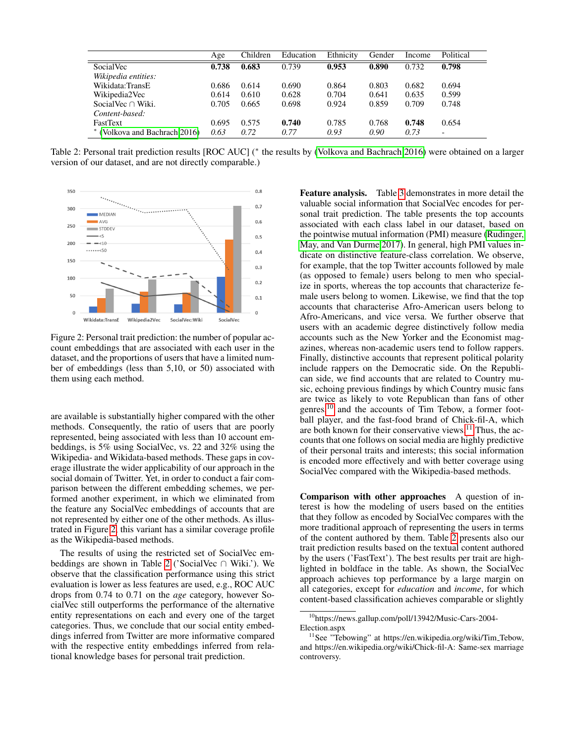<span id="page-5-1"></span>

|                             | Age   | Children | Education | Ethnicity | Gender | Income | Political                |
|-----------------------------|-------|----------|-----------|-----------|--------|--------|--------------------------|
| SocialVec                   | 0.738 | 0.683    | 0.739     | 0.953     | 0.890  | 0.732  | 0.798                    |
| Wikipedia entities:         |       |          |           |           |        |        |                          |
| Wikidata:TransE             | 0.686 | 0.614    | 0.690     | 0.864     | 0.803  | 0.682  | 0.694                    |
| Wikipedia2Vec               | 0.614 | 0.610    | 0.628     | 0.704     | 0.641  | 0.635  | 0.599                    |
| Social Vec $\cap$ Wiki.     | 0.705 | 0.665    | 0.698     | 0.924     | 0.859  | 0.709  | 0.748                    |
| Content-based:              |       |          |           |           |        |        |                          |
| <b>FastText</b>             | 0.695 | 0.575    | 0.740     | 0.785     | 0.768  | 0.748  | 0.654                    |
| (Volkova and Bachrach 2016) | 0.63  | 0.72     | 0.77      | 0.93      | 0.90   | 0.73   | $\overline{\phantom{0}}$ |

Table 2: Personal trait prediction results [ROC AUC] (\* the results by [\(Volkova and Bachrach 2016\)](#page-9-21) were obtained on a larger version of our dataset, and are not directly comparable.)

<span id="page-5-0"></span>

Figure 2: Personal trait prediction: the number of popular account embeddings that are associated with each user in the dataset, and the proportions of users that have a limited number of embeddings (less than 5,10, or 50) associated with them using each method.

are available is substantially higher compared with the other methods. Consequently, the ratio of users that are poorly represented, being associated with less than 10 account embeddings, is 5% using SocialVec, vs. 22 and 32% using the Wikipedia- and Wikidata-based methods. These gaps in coverage illustrate the wider applicability of our approach in the social domain of Twitter. Yet, in order to conduct a fair comparison between the different embedding schemes, we performed another experiment, in which we eliminated from the feature any SocialVec embeddings of accounts that are not represented by either one of the other methods. As illustrated in Figure [2,](#page-5-0) this variant has a similar coverage profile as the Wikipedia-based methods.

The results of using the restricted set of SocialVec embeddings are shown in Table [2](#page-5-1) ('SocialVec ∩ Wiki.'). We observe that the classification performance using this strict evaluation is lower as less features are used, e.g., ROC AUC drops from 0.74 to 0.71 on the *age* category, however SocialVec still outperforms the performance of the alternative entity representations on each and every one of the target categories. Thus, we conclude that our social entity embeddings inferred from Twitter are more informative compared with the respective entity embeddings inferred from relational knowledge bases for personal trait prediction.

Feature analysis. Table [3](#page-6-0) demonstrates in more detail the valuable social information that SocialVec encodes for personal trait prediction. The table presents the top accounts associated with each class label in our dataset, based on the pointwise mutual information (PMI) measure [\(Rudinger,](#page-9-28) [May, and Van Durme 2017\)](#page-9-28). In general, high PMI values indicate on distinctive feature-class correlation. We observe, for example, that the top Twitter accounts followed by male (as opposed to female) users belong to men who specialize in sports, whereas the top accounts that characterize female users belong to women. Likewise, we find that the top accounts that characterise Afro-American users belong to Afro-Americans, and vice versa. We further observe that users with an academic degree distinctively follow media accounts such as the New Yorker and the Economist magazines, whereas non-academic users tend to follow rappers. Finally, distinctive accounts that represent political polarity include rappers on the Democratic side. On the Republican side, we find accounts that are related to Country music, echoing previous findings by which Country music fans are twice as likely to vote Republican than fans of other genres, $^{10}$  $^{10}$  $^{10}$  and the accounts of Tim Tebow, a former football player, and the fast-food brand of Chick-fil-A, which are both known for their conservative views.<sup>[11](#page-5-3)</sup> Thus, the accounts that one follows on social media are highly predictive of their personal traits and interests; this social information is encoded more effectively and with better coverage using SocialVec compared with the Wikipedia-based methods.

Comparison with other approaches A question of interest is how the modeling of users based on the entities that they follow as encoded by SocialVec compares with the more traditional approach of representing the users in terms of the content authored by them. Table [2](#page-5-1) presents also our trait prediction results based on the textual content authored by the users ('FastText'). The best results per trait are highlighted in boldface in the table. As shown, the SocialVec approach achieves top performance by a large margin on all categories, except for *education* and *income*, for which content-based classification achieves comparable or slightly

<span id="page-5-2"></span><sup>10</sup>https://news.gallup.com/poll/13942/Music-Cars-2004- Election.aspx

<span id="page-5-3"></span> $11$ See "Tebowing" at https://en.wikipedia.org/wiki/Tim\_Tebow, and https://en.wikipedia.org/wiki/Chick-fil-A: Same-sex marriage controversy.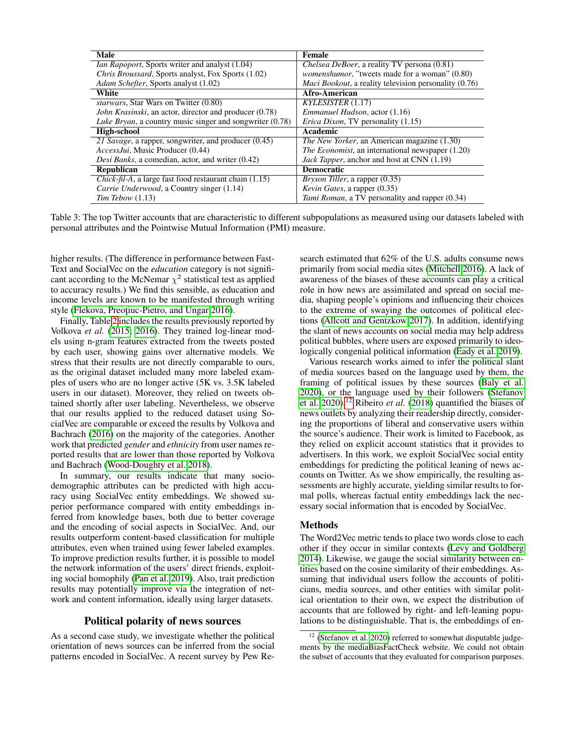<span id="page-6-0"></span>

| Male                                                             | <b>Female</b>                                                 |
|------------------------------------------------------------------|---------------------------------------------------------------|
| <i>Ian Rapoport</i> , Sports writer and analyst (1.04)           | <i>Chelsea DeBoer</i> , a reality TV persona (0.81)           |
| <i>Chris Broussard, Sports analyst, Fox Sports (1.02)</i>        | <i>womenshumor</i> , "tweets made for a woman" (0.80)         |
| Adam Schefter, Sports analyst (1.02)                             | <i>Maci Bookout</i> , a reality television personality (0.76) |
| White                                                            | Afro-American                                                 |
| <i>starwars</i> , Star Wars on Twitter (0.80)                    | KYLESISTER(1.17)                                              |
| John Krasinski, an actor, director and producer (0.78)           | <i>Emmanuel Hudson</i> , actor (1.16)                         |
| <i>Luke Bryan</i> , a country music singer and songwriter (0.78) | <i>Erica Dixon</i> , TV personality (1.15)                    |
| <b>High-school</b>                                               | Academic                                                      |
| 21 Savage, a rapper, songwriter, and producer (0.45)             | <i>The New Yorker</i> , an American magazine (1.30)           |
| AccessJui, Music Producer (0.44)                                 | <i>The Economist</i> , an international newspaper (1.20)      |
| <i>Desi Banks</i> , a comedian, actor, and writer (0.42)         | Jack Tapper, anchor and host at CNN (1.19)                    |
| <b>Republican</b>                                                | <b>Democratic</b>                                             |
| <i>Chick-fil-A</i> , a large fast food restaurant chain (1.15)   | <i>Bryson Tiller</i> , a rapper (0.35)                        |
| Carrie Underwood, a Country singer (1.14)                        | <i>Kevin Gates, a rapper</i> (0.35)                           |
| $Tim$ Tebow $(1.13)$                                             | <i>Tami Roman</i> , a TV personality and rapper (0.34)        |

Table 3: The top Twitter accounts that are characteristic to different subpopulations as measured using our datasets labeled with personal attributes and the Pointwise Mutual Information (PMI) measure.

higher results. (The difference in performance between Fast-Text and SocialVec on the *education* category is not significant according to the McNemar  $\chi^2$  statistical test as applied to accuracy results.) We find this sensible, as education and income levels are known to be manifested through writing style (Flekova, Preoțiuc-Pietro, and Ungar 2016).

Finally, Table [2](#page-5-1) includes the results previously reported by Volkova *et al.* [\(2015;](#page-9-24) [2016\)](#page-9-21). They trained log-linear models using n-gram features extracted from the tweets posted by each user, showing gains over alternative models. We stress that their results are not directly comparable to ours, as the original dataset included many more labeled examples of users who are no longer active (5K vs. 3.5K labeled users in our dataset). Moreover, they relied on tweets obtained shortly after user labeling. Nevertheless, we observe that our results applied to the reduced dataset using SocialVec are comparable or exceed the results by Volkova and Bachrach [\(2016\)](#page-9-21) on the majority of the categories. Another work that predicted *gender* and *ethnicity* from user names reported results that are lower than those reported by Volkova and Bachrach [\(Wood-Doughty et al. 2018\)](#page-9-30).

In summary, our results indicate that many sociodemographic attributes can be predicted with high accuracy using SocialVec entity embeddings. We showed superior performance compared with entity embeddings inferred from knowledge bases, both due to better coverage and the encoding of social aspects in SocialVec. And, our results outperform content-based classification for multiple attributes, even when trained using fewer labeled examples. To improve prediction results further, it is possible to model the network information of the users' direct friends, exploiting social homophily [\(Pan et al. 2019\)](#page-9-31). Also, trait prediction results may potentially improve via the integration of network and content information, ideally using larger datasets.

### Political polarity of news sources

As a second case study, we investigate whether the political orientation of news sources can be inferred from the social patterns encoded in SocialVec. A recent survey by Pew Research estimated that 62% of the U.S. adults consume news primarily from social media sites [\(Mitchell 2016\)](#page-9-32). A lack of awareness of the biases of these accounts can play a critical role in how news are assimilated and spread on social media, shaping people's opinions and influencing their choices to the extreme of swaying the outcomes of political elections [\(Allcott and Gentzkow 2017\)](#page-9-33). In addition, identifying the slant of news accounts on social media may help address political bubbles, where users are exposed primarily to ideologically congenial political information [\(Eady et al. 2019\)](#page-9-6).

Various research works aimed to infer the political slant of media sources based on the language used by them, the framing of political issues by these sources [\(Baly et al.](#page-9-34) [2020\)](#page-9-34), or the language used by their followers [\(Stefanov](#page-9-35) [et al. 2020\)](#page-9-35).[12](#page-6-1) Ribeiro *et al.* [\(2018\)](#page-9-36) quantified the biases of news outlets by analyzing their readership directly, considering the proportions of liberal and conservative users within the source's audience. Their work is limited to Facebook, as they relied on explicit account statistics that it provides to advertisers. In this work, we exploit SocialVec social entity embeddings for predicting the political leaning of news accounts on Twitter. As we show empirically, the resulting assessments are highly accurate, yielding similar results to formal polls, whereas factual entity embeddings lack the necessary social information that is encoded by SocialVec.

### Methods

The Word2Vec metric tends to place two words close to each other if they occur in similar contexts [\(Levy and Goldberg](#page-9-37) [2014\)](#page-9-37). Likewise, we gauge the social similarity between entities based on the cosine similarity of their embeddings. Assuming that individual users follow the accounts of politicians, media sources, and other entities with similar political orientation to their own, we expect the distribution of accounts that are followed by right- and left-leaning populations to be distinguishable. That is, the embeddings of en-

<span id="page-6-1"></span> $12$  [\(Stefanov et al. 2020\)](#page-9-35) referred to somewhat disputable judgements by the mediaBiasFactCheck website. We could not obtain the subset of accounts that they evaluated for comparison purposes.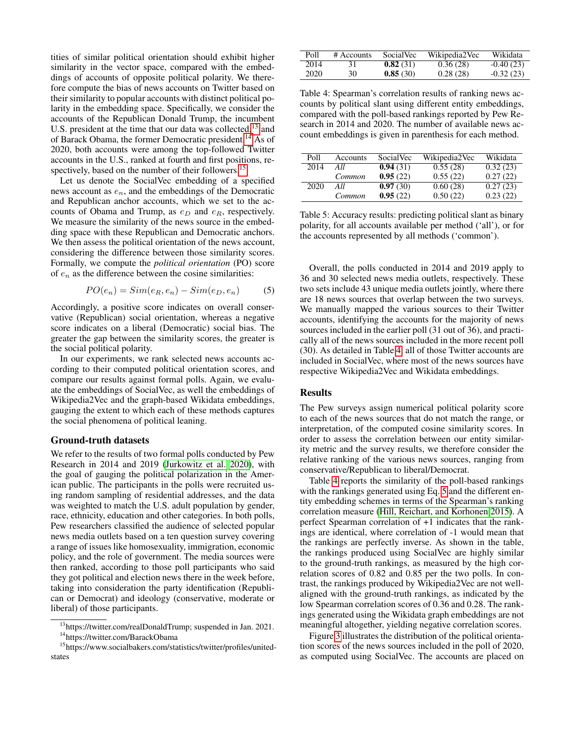tities of similar political orientation should exhibit higher similarity in the vector space, compared with the embeddings of accounts of opposite political polarity. We therefore compute the bias of news accounts on Twitter based on their similarity to popular accounts with distinct political polarity in the embedding space. Specifically, we consider the accounts of the Republican Donald Trump, the incumbent U.S. president at the time that our data was collected,<sup>[13](#page-7-0)</sup> and of Barack Obama, the former Democratic president.<sup>[14](#page-7-1)</sup> As of 2020, both accounts were among the top-followed Twitter accounts in the U.S., ranked at fourth and first positions, re-spectively, based on the number of their followers.<sup>[15](#page-7-2)</sup>

Let us denote the SocialVec embedding of a specified news account as  $e_n$ , and the embeddings of the Democratic and Republican anchor accounts, which we set to the accounts of Obama and Trump, as  $e_D$  and  $e_R$ , respectively. We measure the similarity of the news source in the embedding space with these Republican and Democratic anchors. We then assess the political orientation of the news account, considering the difference between those similarity scores. Formally, we compute the *political orientation* (PO) score of  $e_n$  as the difference between the cosine similarities:

<span id="page-7-4"></span>
$$
PO(e_n) = Sim(e_R, e_n) - Sim(e_D, e_n)
$$
 (5)

Accordingly, a positive score indicates on overall conservative (Republican) social orientation, whereas a negative score indicates on a liberal (Democratic) social bias. The greater the gap between the similarity scores, the greater is the social political polarity.

In our experiments, we rank selected news accounts according to their computed political orientation scores, and compare our results against formal polls. Again, we evaluate the embeddings of SocialVec, as well the embeddings of Wikipedia2Vec and the graph-based Wikidata embeddings, gauging the extent to which each of these methods captures the social phenomena of political leaning.

### Ground-truth datasets

We refer to the results of two formal polls conducted by Pew Research in 2014 and 2019 [\(Jurkowitz et al. 2020\)](#page-9-9), with the goal of gauging the political polarization in the American public. The participants in the polls were recruited using random sampling of residential addresses, and the data was weighted to match the U.S. adult population by gender, race, ethnicity, education and other categories. In both polls, Pew researchers classified the audience of selected popular news media outlets based on a ten question survey covering a range of issues like homosexuality, immigration, economic policy, and the role of government. The media sources were then ranked, according to those poll participants who said they got political and election news there in the week before, taking into consideration the party identification (Republican or Democrat) and ideology (conservative, moderate or liberal) of those participants.

<span id="page-7-3"></span>

| Poll | # Accounts | SocialVec | Wikipedia2Vec | Wikidata    |
|------|------------|-----------|---------------|-------------|
| 2014 | 31         | 0.82(31)  | 0.36(28)      | $-0.40(23)$ |
| 2020 | 30         | 0.85(30)  | 0.28(28)      | $-0.32(23)$ |

Table 4: Spearman's correlation results of ranking news accounts by political slant using different entity embeddings, compared with the poll-based rankings reported by Pew Research in 2014 and 2020. The number of available news account embeddings is given in parenthesis for each method.

<span id="page-7-5"></span>

| Poll | Accounts | SocialVec | Wikipedia2Vec | Wikidata |
|------|----------|-----------|---------------|----------|
| 2014 | All      | 0.94(31)  | 0.55(28)      | 0.32(23) |
|      | Common   | 0.95(22)  | 0.55(22)      | 0.27(22) |
| 2020 | All      | 0.97(30)  | 0.60(28)      | 0.27(23) |
|      | Common   | 0.95(22)  | 0.50(22)      | 0.23(22) |

Table 5: Accuracy results: predicting political slant as binary polarity, for all accounts available per method ('all'), or for the accounts represented by all methods ('common').

Overall, the polls conducted in 2014 and 2019 apply to 36 and 30 selected news media outlets, respectively. These two sets include 43 unique media outlets jointly, where there are 18 news sources that overlap between the two surveys. We manually mapped the various sources to their Twitter accounts, identifying the accounts for the majority of news sources included in the earlier poll (31 out of 36), and practically all of the news sources included in the more recent poll (30). As detailed in Table [4,](#page-7-3) all of those Twitter accounts are included in SocialVec, where most of the news sources have respective Wikipedia2Vec and Wikidata embeddings.

### Results

The Pew surveys assign numerical political polarity score to each of the news sources that do not match the range, or interpretation, of the computed cosine similarity scores. In order to assess the correlation between our entity similarity metric and the survey results, we therefore consider the relative ranking of the various news sources, ranging from conservative/Republican to liberal/Democrat.

Table [4](#page-7-3) reports the similarity of the poll-based rankings with the rankings generated using Eq. [5](#page-7-4) and the different entity embedding schemes in terms of the Spearman's ranking correlation measure [\(Hill, Reichart, and Korhonen 2015\)](#page-9-38). A perfect Spearman correlation of +1 indicates that the rankings are identical, where correlation of -1 would mean that the rankings are perfectly inverse. As shown in the table, the rankings produced using SocialVec are highly similar to the ground-truth rankings, as measured by the high correlation scores of 0.82 and 0.85 per the two polls. In contrast, the rankings produced by Wikipedia2Vec are not wellaligned with the ground-truth rankings, as indicated by the low Spearman correlation scores of 0.36 and 0.28. The rankings generated using the Wikidata graph embeddings are not meaningful altogether, yielding negative correlation scores.

Figure [3](#page-8-1) illustrates the distribution of the political orientation scores of the news sources included in the poll of 2020, as computed using SocialVec. The accounts are placed on

<span id="page-7-0"></span><sup>&</sup>lt;sup>13</sup>https://twitter.com/realDonaldTrump; suspended in Jan. 2021.

<span id="page-7-2"></span><span id="page-7-1"></span><sup>14</sup>https://twitter.com/BarackObama

<sup>15</sup>https://www.socialbakers.com/statistics/twitter/profiles/unitedstates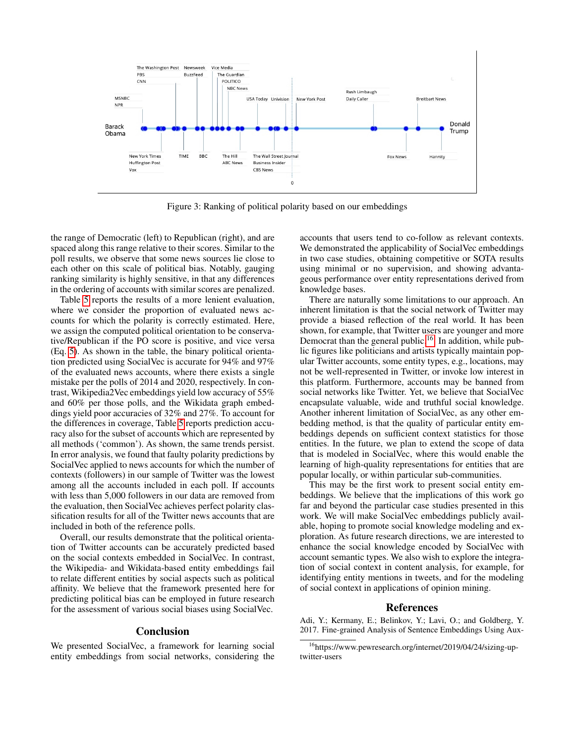<span id="page-8-1"></span>

Figure 3: Ranking of political polarity based on our embeddings

the range of Democratic (left) to Republican (right), and are spaced along this range relative to their scores. Similar to the poll results, we observe that some news sources lie close to each other on this scale of political bias. Notably, gauging ranking similarity is highly sensitive, in that any differences in the ordering of accounts with similar scores are penalized.

Table [5](#page-7-5) reports the results of a more lenient evaluation, where we consider the proportion of evaluated news accounts for which the polarity is correctly estimated. Here, we assign the computed political orientation to be conservative/Republican if the PO score is positive, and vice versa (Eq. [5\)](#page-7-4). As shown in the table, the binary political orientation predicted using SocialVec is accurate for 94% and 97% of the evaluated news accounts, where there exists a single mistake per the polls of 2014 and 2020, respectively. In contrast, Wikipedia2Vec embeddings yield low accuracy of 55% and 60% per those polls, and the Wikidata graph embeddings yield poor accuracies of 32% and 27%. To account for the differences in coverage, Table [5](#page-7-5) reports prediction accuracy also for the subset of accounts which are represented by all methods ('common'). As shown, the same trends persist. In error analysis, we found that faulty polarity predictions by SocialVec applied to news accounts for which the number of contexts (followers) in our sample of Twitter was the lowest among all the accounts included in each poll. If accounts with less than 5,000 followers in our data are removed from the evaluation, then SocialVec achieves perfect polarity classification results for all of the Twitter news accounts that are included in both of the reference polls.

Overall, our results demonstrate that the political orientation of Twitter accounts can be accurately predicted based on the social contexts embedded in SocialVec. In contrast, the Wikipedia- and Wikidata-based entity embeddings fail to relate different entities by social aspects such as political affinity. We believe that the framework presented here for predicting political bias can be employed in future research for the assessment of various social biases using SocialVec.

### Conclusion

We presented SocialVec, a framework for learning social entity embeddings from social networks, considering the

accounts that users tend to co-follow as relevant contexts. We demonstrated the applicability of SocialVec embeddings in two case studies, obtaining competitive or SOTA results using minimal or no supervision, and showing advantageous performance over entity representations derived from knowledge bases.

There are naturally some limitations to our approach. An inherent limitation is that the social network of Twitter may provide a biased reflection of the real world. It has been shown, for example, that Twitter users are younger and more Democrat than the general public.<sup>[16](#page-8-2)</sup>. In addition, while public figures like politicians and artists typically maintain popular Twitter accounts, some entity types, e.g., locations, may not be well-represented in Twitter, or invoke low interest in this platform. Furthermore, accounts may be banned from social networks like Twitter. Yet, we believe that SocialVec encapsulate valuable, wide and truthful social knowledge. Another inherent limitation of SocialVec, as any other embedding method, is that the quality of particular entity embeddings depends on sufficient context statistics for those entities. In the future, we plan to extend the scope of data that is modeled in SocialVec, where this would enable the learning of high-quality representations for entities that are popular locally, or within particular sub-communities.

This may be the first work to present social entity embeddings. We believe that the implications of this work go far and beyond the particular case studies presented in this work. We will make SocialVec embeddings publicly available, hoping to promote social knowledge modeling and exploration. As future research directions, we are interested to enhance the social knowledge encoded by SocialVec with account semantic types. We also wish to explore the integration of social context in content analysis, for example, for identifying entity mentions in tweets, and for the modeling of social context in applications of opinion mining.

### References

<span id="page-8-0"></span>Adi, Y.; Kermany, E.; Belinkov, Y.; Lavi, O.; and Goldberg, Y. 2017. Fine-grained Analysis of Sentence Embeddings Using Aux-

<span id="page-8-2"></span><sup>16</sup>https://www.pewresearch.org/internet/2019/04/24/sizing-uptwitter-users